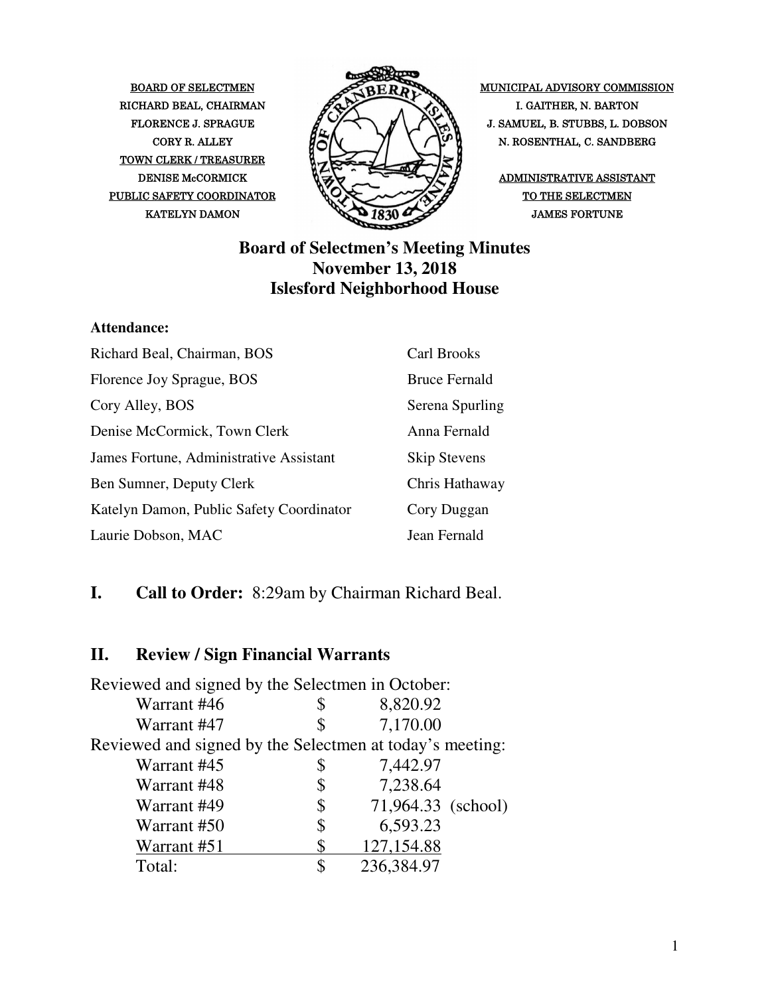TOWN CLERK / TREASURER PUBLIC SAFETY COORDINATOR  $\bigotimes \bigotimes$   $\bigotimes$  of the selectmen



BOARD OF SELECTMEN MUNICIPAL ADVISORY COMMISSION FLORENCE J. SPRAGUE  $\mathcal{L} \rightarrow \mathcal{L}$   $\mathcal{L}$   $\rightarrow$   $\mathcal{L}$   $\rightarrow$   $\mathcal{L}$  J. SAMUEL, B. STUBBS, L. DOBSON CORY R. ALLEY  $\begin{bmatrix} R & R \end{bmatrix} \begin{bmatrix} R & R \end{bmatrix}$  N. ROSENTHAL, C. SANDBERG

### **Board of Selectmen's Meeting Minutes November 13, 2018 Islesford Neighborhood House**

#### **Attendance:**

| Richard Beal, Chairman, BOS              | Carl Brooks          |
|------------------------------------------|----------------------|
| Florence Joy Sprague, BOS                | <b>Bruce Fernald</b> |
| Cory Alley, BOS                          | Serena Spurling      |
| Denise McCormick, Town Clerk             | Anna Fernald         |
| James Fortune, Administrative Assistant  | <b>Skip Stevens</b>  |
| Ben Sumner, Deputy Clerk                 | Chris Hathaway       |
| Katelyn Damon, Public Safety Coordinator | Cory Duggan          |
| Laurie Dobson, MAC                       | Jean Fernald         |

### **I. Call to Order:** 8:29am by Chairman Richard Beal.

## **II. Review / Sign Financial Warrants**

| Reviewed and signed by the Selectmen in October:         |    |                    |  |
|----------------------------------------------------------|----|--------------------|--|
| Warrant #46                                              | S  | 8,820.92           |  |
| Warrant #47                                              |    | 7,170.00           |  |
| Reviewed and signed by the Selectmen at today's meeting: |    |                    |  |
| Warrant #45                                              | \$ | 7,442.97           |  |
| Warrant #48                                              | \$ | 7,238.64           |  |
| Warrant #49                                              | \$ | 71,964.33 (school) |  |
| Warrant #50                                              | \$ | 6,593.23           |  |
| Warrant #51                                              |    | 127,154.88         |  |
| Total:                                                   | S  | 236,384.97         |  |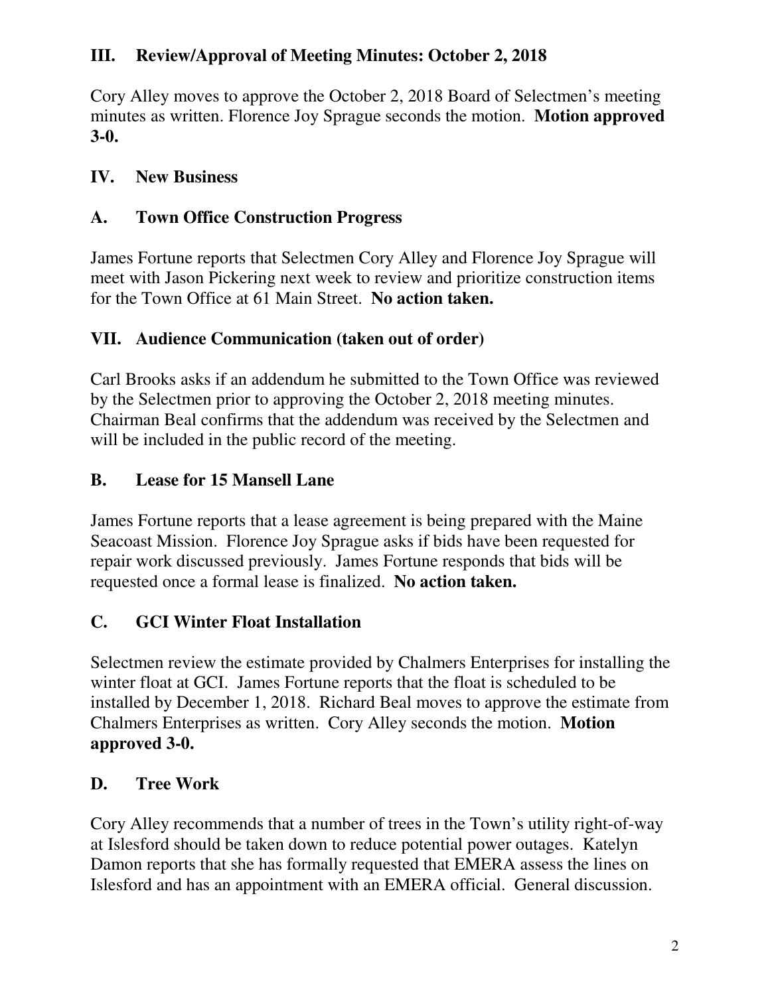# **III. Review/Approval of Meeting Minutes: October 2, 2018**

Cory Alley moves to approve the October 2, 2018 Board of Selectmen's meeting minutes as written. Florence Joy Sprague seconds the motion. **Motion approved 3-0.** 

# **IV. New Business**

# **A. Town Office Construction Progress**

James Fortune reports that Selectmen Cory Alley and Florence Joy Sprague will meet with Jason Pickering next week to review and prioritize construction items for the Town Office at 61 Main Street. **No action taken.**

## **VII. Audience Communication (taken out of order)**

Carl Brooks asks if an addendum he submitted to the Town Office was reviewed by the Selectmen prior to approving the October 2, 2018 meeting minutes. Chairman Beal confirms that the addendum was received by the Selectmen and will be included in the public record of the meeting.

## **B. Lease for 15 Mansell Lane**

James Fortune reports that a lease agreement is being prepared with the Maine Seacoast Mission. Florence Joy Sprague asks if bids have been requested for repair work discussed previously. James Fortune responds that bids will be requested once a formal lease is finalized. **No action taken.**

# **C. GCI Winter Float Installation**

Selectmen review the estimate provided by Chalmers Enterprises for installing the winter float at GCI. James Fortune reports that the float is scheduled to be installed by December 1, 2018. Richard Beal moves to approve the estimate from Chalmers Enterprises as written. Cory Alley seconds the motion. **Motion approved 3-0.** 

# **D. Tree Work**

Cory Alley recommends that a number of trees in the Town's utility right-of-way at Islesford should be taken down to reduce potential power outages. Katelyn Damon reports that she has formally requested that EMERA assess the lines on Islesford and has an appointment with an EMERA official. General discussion.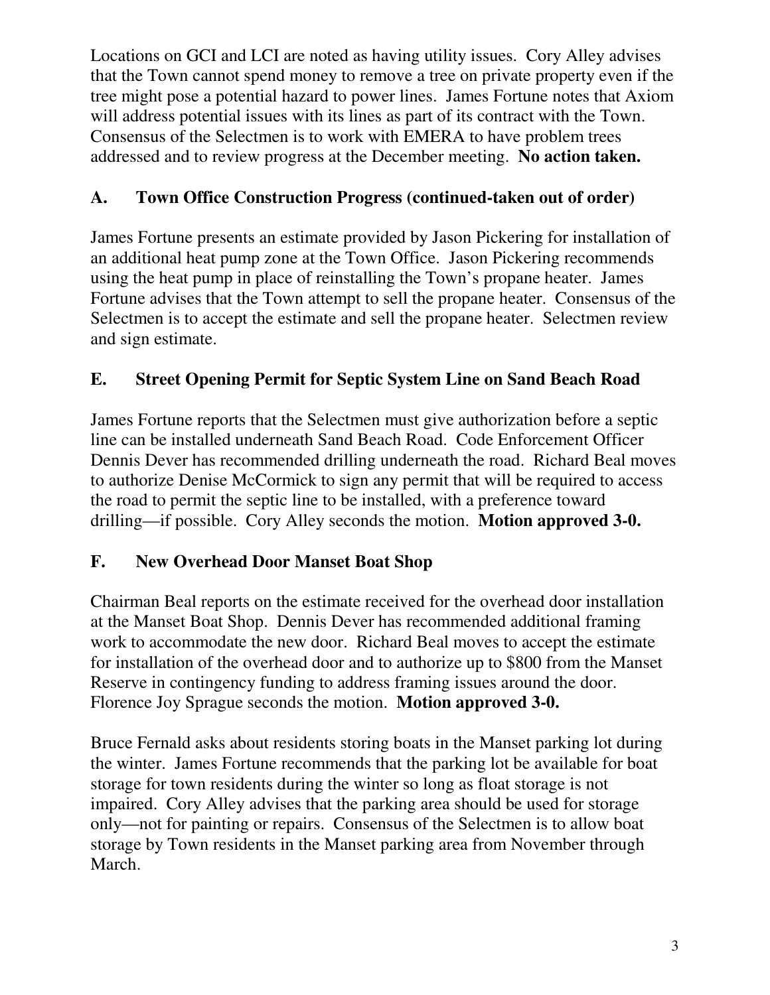Locations on GCI and LCI are noted as having utility issues. Cory Alley advises that the Town cannot spend money to remove a tree on private property even if the tree might pose a potential hazard to power lines. James Fortune notes that Axiom will address potential issues with its lines as part of its contract with the Town. Consensus of the Selectmen is to work with EMERA to have problem trees addressed and to review progress at the December meeting. **No action taken.**

# **A. Town Office Construction Progress (continued-taken out of order)**

James Fortune presents an estimate provided by Jason Pickering for installation of an additional heat pump zone at the Town Office. Jason Pickering recommends using the heat pump in place of reinstalling the Town's propane heater. James Fortune advises that the Town attempt to sell the propane heater. Consensus of the Selectmen is to accept the estimate and sell the propane heater. Selectmen review and sign estimate.

# **E. Street Opening Permit for Septic System Line on Sand Beach Road**

James Fortune reports that the Selectmen must give authorization before a septic line can be installed underneath Sand Beach Road. Code Enforcement Officer Dennis Dever has recommended drilling underneath the road. Richard Beal moves to authorize Denise McCormick to sign any permit that will be required to access the road to permit the septic line to be installed, with a preference toward drilling—if possible. Cory Alley seconds the motion. **Motion approved 3-0.**

# **F. New Overhead Door Manset Boat Shop**

Chairman Beal reports on the estimate received for the overhead door installation at the Manset Boat Shop. Dennis Dever has recommended additional framing work to accommodate the new door. Richard Beal moves to accept the estimate for installation of the overhead door and to authorize up to \$800 from the Manset Reserve in contingency funding to address framing issues around the door. Florence Joy Sprague seconds the motion. **Motion approved 3-0.**

Bruce Fernald asks about residents storing boats in the Manset parking lot during the winter. James Fortune recommends that the parking lot be available for boat storage for town residents during the winter so long as float storage is not impaired. Cory Alley advises that the parking area should be used for storage only—not for painting or repairs. Consensus of the Selectmen is to allow boat storage by Town residents in the Manset parking area from November through March.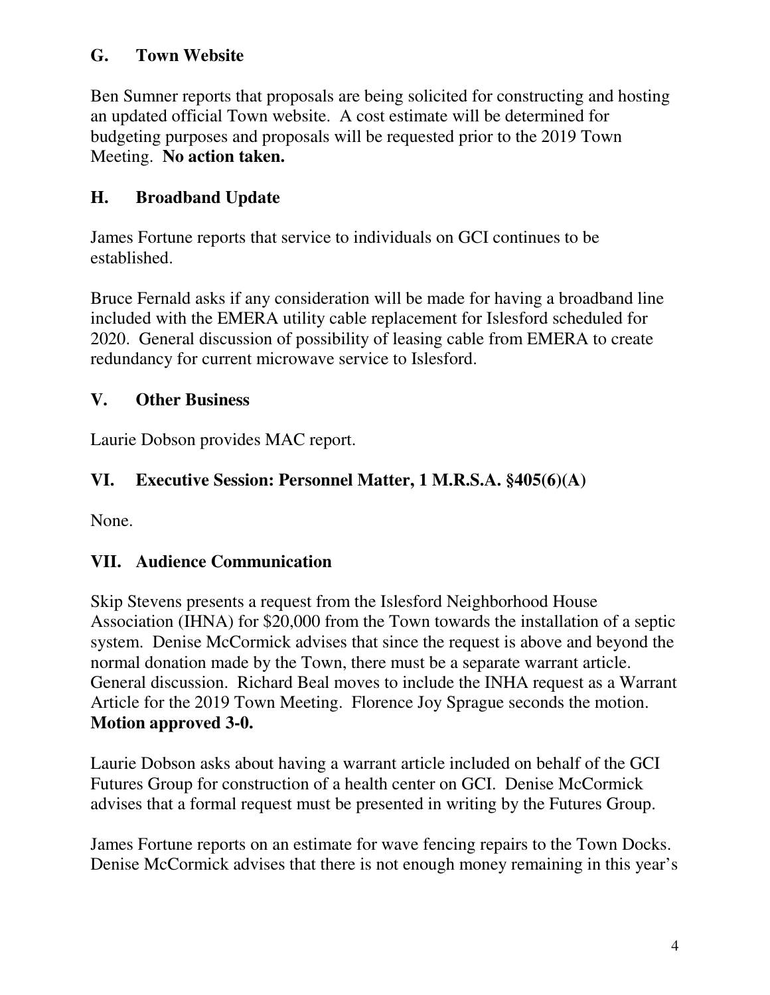### **G. Town Website**

Ben Sumner reports that proposals are being solicited for constructing and hosting an updated official Town website. A cost estimate will be determined for budgeting purposes and proposals will be requested prior to the 2019 Town Meeting. **No action taken.**

# **H. Broadband Update**

James Fortune reports that service to individuals on GCI continues to be established.

Bruce Fernald asks if any consideration will be made for having a broadband line included with the EMERA utility cable replacement for Islesford scheduled for 2020. General discussion of possibility of leasing cable from EMERA to create redundancy for current microwave service to Islesford.

# **V. Other Business**

Laurie Dobson provides MAC report.

# **VI. Executive Session: Personnel Matter, 1 M.R.S.A. §405(6)(A)**

None.

# **VII. Audience Communication**

Skip Stevens presents a request from the Islesford Neighborhood House Association (IHNA) for \$20,000 from the Town towards the installation of a septic system. Denise McCormick advises that since the request is above and beyond the normal donation made by the Town, there must be a separate warrant article. General discussion. Richard Beal moves to include the INHA request as a Warrant Article for the 2019 Town Meeting. Florence Joy Sprague seconds the motion. **Motion approved 3-0.**

Laurie Dobson asks about having a warrant article included on behalf of the GCI Futures Group for construction of a health center on GCI. Denise McCormick advises that a formal request must be presented in writing by the Futures Group.

James Fortune reports on an estimate for wave fencing repairs to the Town Docks. Denise McCormick advises that there is not enough money remaining in this year's